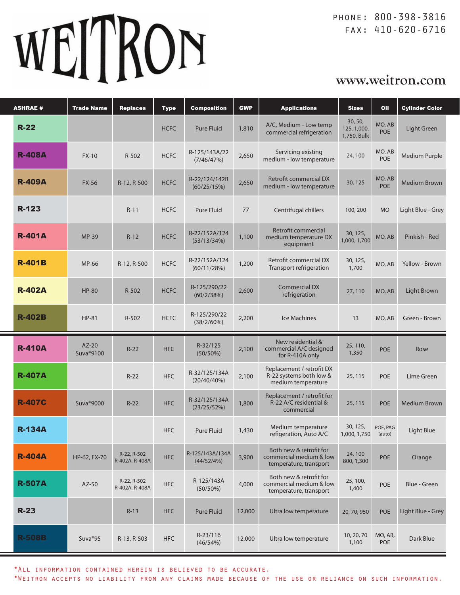# WEITRON

phone: 800-398-3816 fax: 410-620-6716

# **www.weitron.com**

| <b>ASHRAE#</b> | <b>Trade Name</b>      | <b>Replaces</b>               | <b>Type</b> | <b>Composition</b>            | <b>GWP</b> | <b>Applications</b>                                                          | <b>Sizes</b>                          | Oil                  | <b>Cylinder Color</b> |
|----------------|------------------------|-------------------------------|-------------|-------------------------------|------------|------------------------------------------------------------------------------|---------------------------------------|----------------------|-----------------------|
| $R-22$         |                        |                               | <b>HCFC</b> | <b>Pure Fluid</b>             | 1,810      | A/C, Medium - Low temp<br>commercial refrigeration                           | 30, 50,<br>125, 1,000,<br>1,750, Bulk | MO, AB<br><b>POE</b> | Light Green           |
| <b>R-408A</b>  | $FX-10$                | R-502                         | <b>HCFC</b> | R-125/143A/22<br>(7/46/47%)   | 2,650      | Servicing existing<br>medium - low temperature                               | 24,100                                | MO, AB<br>POE        | Medium Purple         |
| <b>R-409A</b>  | <b>FX-56</b>           | R-12, R-500                   | <b>HCFC</b> | R-22/124/142B<br>(60/25/15%)  | 2,650      | Retrofit commercial DX<br>medium - low temperature                           | 30, 125                               | MO, AB<br><b>POE</b> | <b>Medium Brown</b>   |
| R-123          |                        | $R-11$                        | <b>HCFC</b> | Pure Fluid                    | 77         | Centrifugal chillers                                                         | 100, 200                              | <b>MO</b>            | Light Blue - Grey     |
| <b>R-401A</b>  | <b>MP-39</b>           | $R-12$                        | <b>HCFC</b> | R-22/152A/124<br>(53/13/34%)  | 1,100      | Retrofit commercial<br>medium temperature DX<br>equipment                    | 30, 125,<br>1,000, 1,700              | MO, AB               | Pinkish - Red         |
| <b>R-401B</b>  | MP-66                  | R-12, R-500                   | <b>HCFC</b> | R-22/152A/124<br>(60/11/28%)  | 1,200      | Retrofit commercial DX<br>Transport refrigeration                            | 30, 125,<br>1,700                     | MO, AB               | Yellow - Brown        |
| <b>R-402A</b>  | <b>HP-80</b>           | $R-502$                       | <b>HCFC</b> | R-125/290/22<br>(60/2/38%)    | 2,600      | <b>Commercial DX</b><br>refrigeration                                        | 27, 110                               | MO, AB               | Light Brown           |
| <b>R-402B</b>  | <b>HP-81</b>           | $R-502$                       | <b>HCFC</b> | R-125/290/22<br>(38/2/60%)    | 2,200      | Ice Machines                                                                 | 13                                    | MO, AB               | Green - Brown         |
| <b>R-410A</b>  | $AZ-20$<br>Suva®9100   | $R-22$                        | <b>HFC</b>  | R-32/125<br>(50/50%)          | 2,100      | New residential &<br>commercial A/C designed<br>for R-410A only              | 25, 110,<br>1,350                     | <b>POE</b>           | Rose                  |
| <b>R-407A</b>  |                        |                               |             |                               |            |                                                                              |                                       |                      |                       |
|                |                        | $R-22$                        | <b>HFC</b>  | R-32/125/134A<br>(20/40/40%)  | 2,100      | Replacement / retrofit DX<br>R-22 systems both low &<br>medium temperature   | 25, 115                               | <b>POE</b>           | Lime Green            |
| <b>R-407C</b>  | Suva <sup>®</sup> 9000 | $R-22$                        | <b>HFC</b>  | R-32/125/134A<br>(23/25/52%)  | 1,800      | Replacement / retrofit for<br>R-22 A/C residential &<br>commercial           | 25, 115                               | <b>POE</b>           | Medium Brown          |
| <b>R-134A</b>  |                        |                               | <b>HFC</b>  | <b>Pure Fluid</b>             | 1,430      | Medium temperature<br>refigeration, Auto A/C                                 | 30, 125,<br>1,000, 1,750              | POE, PAG<br>(auto)   | Light Blue            |
| <b>R-404A</b>  | HP-62, FX-70           | R-22, R-502<br>R-402A, R-408A | <b>HFC</b>  | R-125/143A/134A<br>(44/52/4%) | 3,900      | Both new & retrofit for<br>commercial medium & low<br>temperature, transport | 24,100<br>800, 1,300                  | <b>POE</b>           | Orange                |
| <b>R-507A</b>  | AZ-50                  | R-22, R-502<br>R-402A, R-408A | <b>HFC</b>  | R-125/143A<br>$(50/50\%)$     | 4,000      | Both new & retrofit for<br>commercial medium & low<br>temperature, transport | 25, 100,<br>1,400                     | <b>POE</b>           | Blue - Green          |
| $R-23$         |                        | $R-13$                        | <b>HFC</b>  | <b>Pure Fluid</b>             | 12,000     | Ultra low temperature                                                        | 20, 70, 950                           | <b>POE</b>           | Light Blue - Grey     |

\*All information contained herein is believed to be accurate.

\*Weitron accepts no liability from any claims made because of the use or reliance on such information.